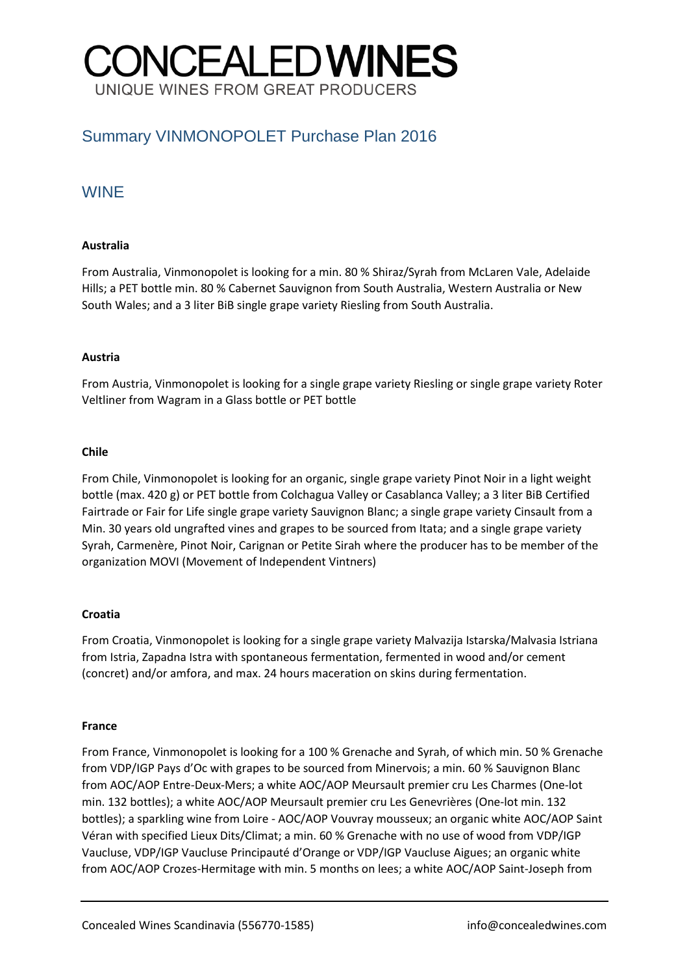# **CONCEALEDWINES** UNIQUE WINES FROM GREAT PRODUCERS

## Summary VINMONOPOLET Purchase Plan 2016

### WINE

### **Australia**

From Australia, Vinmonopolet is looking for a min. 80 % Shiraz/Syrah from McLaren Vale, Adelaide Hills; a PET bottle min. 80 % Cabernet Sauvignon from South Australia, Western Australia or New South Wales; and a 3 liter BiB single grape variety Riesling from South Australia.

### **Austria**

From Austria, Vinmonopolet is looking for a single grape variety Riesling or single grape variety Roter Veltliner from Wagram in a Glass bottle or PET bottle

### **Chile**

From Chile, Vinmonopolet is looking for an organic, single grape variety Pinot Noir in a light weight bottle (max. 420 g) or PET bottle from Colchagua Valley or Casablanca Valley; a 3 liter BiB Certified Fairtrade or Fair for Life single grape variety Sauvignon Blanc; a single grape variety Cinsault from a Min. 30 years old ungrafted vines and grapes to be sourced from Itata; and a single grape variety Syrah, Carmenère, Pinot Noir, Carignan or Petite Sirah where the producer has to be member of the organization MOVI (Movement of Independent Vintners)

### **Croatia**

From Croatia, Vinmonopolet is looking for a single grape variety Malvazija Istarska/Malvasia Istriana from Istria, Zapadna Istra with spontaneous fermentation, fermented in wood and/or cement (concret) and/or amfora, and max. 24 hours maceration on skins during fermentation.

#### **France**

From France, Vinmonopolet is looking for a 100 % Grenache and Syrah, of which min. 50 % Grenache from VDP/IGP Pays d'Oc with grapes to be sourced from Minervois; a min. 60 % Sauvignon Blanc from AOC/AOP Entre-Deux-Mers; a white AOC/AOP Meursault premier cru Les Charmes (One-lot min. 132 bottles); a white AOC/AOP Meursault premier cru Les Genevrières (One-lot min. 132 bottles); a sparkling wine from Loire - AOC/AOP Vouvray mousseux; an organic white AOC/AOP Saint Véran with specified Lieux Dits/Climat; a min. 60 % Grenache with no use of wood from VDP/IGP Vaucluse, VDP/IGP Vaucluse Principauté d'Orange or VDP/IGP Vaucluse Aigues; an organic white from AOC/AOP Crozes-Hermitage with min. 5 months on lees; a white AOC/AOP Saint-Joseph from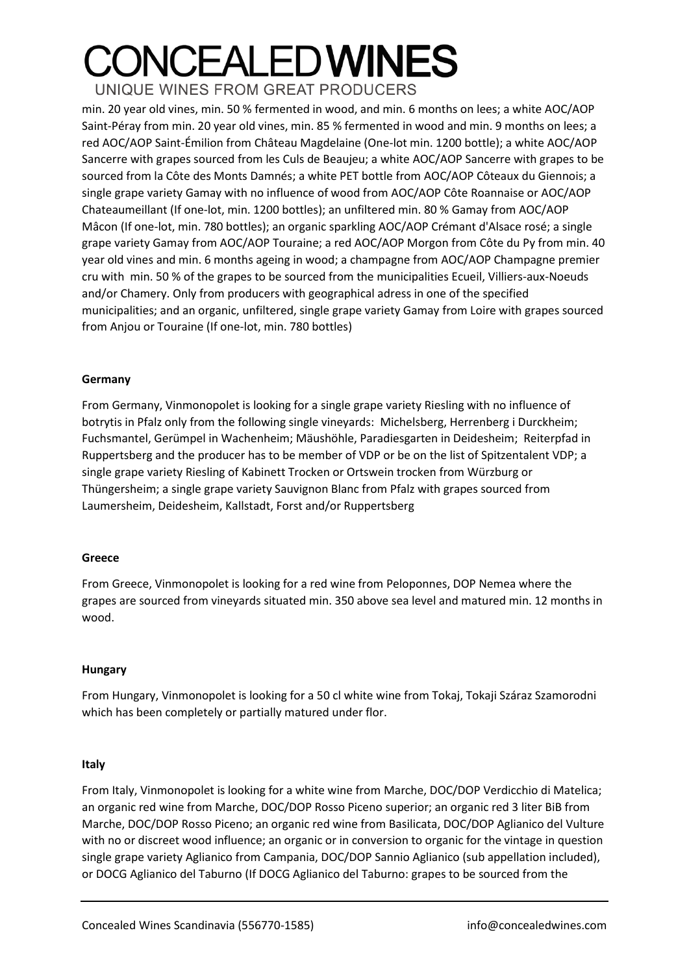## **CONCEALEDWINES** UNIQUE WINES FROM GREAT PRODUCERS

min. 20 year old vines, min. 50 % fermented in wood, and min. 6 months on lees; a white AOC/AOP Saint-Péray from min. 20 year old vines, min. 85 % fermented in wood and min. 9 months on lees; a red AOC/AOP Saint-Émilion from Château Magdelaine (One-lot min. 1200 bottle); a white AOC/AOP Sancerre with grapes sourced from les Culs de Beaujeu; a white AOC/AOP Sancerre with grapes to be sourced from la Côte des Monts Damnés; a white PET bottle from AOC/AOP Côteaux du Giennois; a single grape variety Gamay with no influence of wood from AOC/AOP Côte Roannaise or AOC/AOP Chateaumeillant (If one-lot, min. 1200 bottles); an unfiltered min. 80 % Gamay from AOC/AOP Mâcon (If one-lot, min. 780 bottles); an organic sparkling AOC/AOP Crémant d'Alsace rosé; a single grape variety Gamay from AOC/AOP Touraine; a red AOC/AOP Morgon from Côte du Py from min. 40 year old vines and min. 6 months ageing in wood; a champagne from AOC/AOP Champagne premier cru with min. 50 % of the grapes to be sourced from the municipalities Ecueil, Villiers-aux-Noeuds and/or Chamery. Only from producers with geographical adress in one of the specified municipalities; and an organic, unfiltered, single grape variety Gamay from Loire with grapes sourced from Anjou or Touraine (If one-lot, min. 780 bottles)

### **Germany**

From Germany, Vinmonopolet is looking for a single grape variety Riesling with no influence of botrytis in Pfalz only from the following single vineyards: Michelsberg, Herrenberg i Durckheim; Fuchsmantel, Gerümpel in Wachenheim; Mäushöhle, Paradiesgarten in Deidesheim; Reiterpfad in Ruppertsberg and the producer has to be member of VDP or be on the list of Spitzentalent VDP; a single grape variety Riesling of Kabinett Trocken or Ortswein trocken from Würzburg or Thüngersheim; a single grape variety Sauvignon Blanc from Pfalz with grapes sourced from Laumersheim, Deidesheim, Kallstadt, Forst and/or Ruppertsberg

### **Greece**

From Greece, Vinmonopolet is looking for a red wine from Peloponnes, DOP Nemea where the grapes are sourced from vineyards situated min. 350 above sea level and matured min. 12 months in wood.

#### **Hungary**

From Hungary, Vinmonopolet is looking for a 50 cl white wine from Tokaj, Tokaji Száraz Szamorodni which has been completely or partially matured under flor.

### **Italy**

From Italy, Vinmonopolet is looking for a white wine from Marche, DOC/DOP Verdicchio di Matelica; an organic red wine from Marche, DOC/DOP Rosso Piceno superior; an organic red 3 liter BiB from Marche, DOC/DOP Rosso Piceno; an organic red wine from Basilicata, DOC/DOP Aglianico del Vulture with no or discreet wood influence; an organic or in conversion to organic for the vintage in question single grape variety Aglianico from Campania, DOC/DOP Sannio Aglianico (sub appellation included), or DOCG Aglianico del Taburno (If DOCG Aglianico del Taburno: grapes to be sourced from the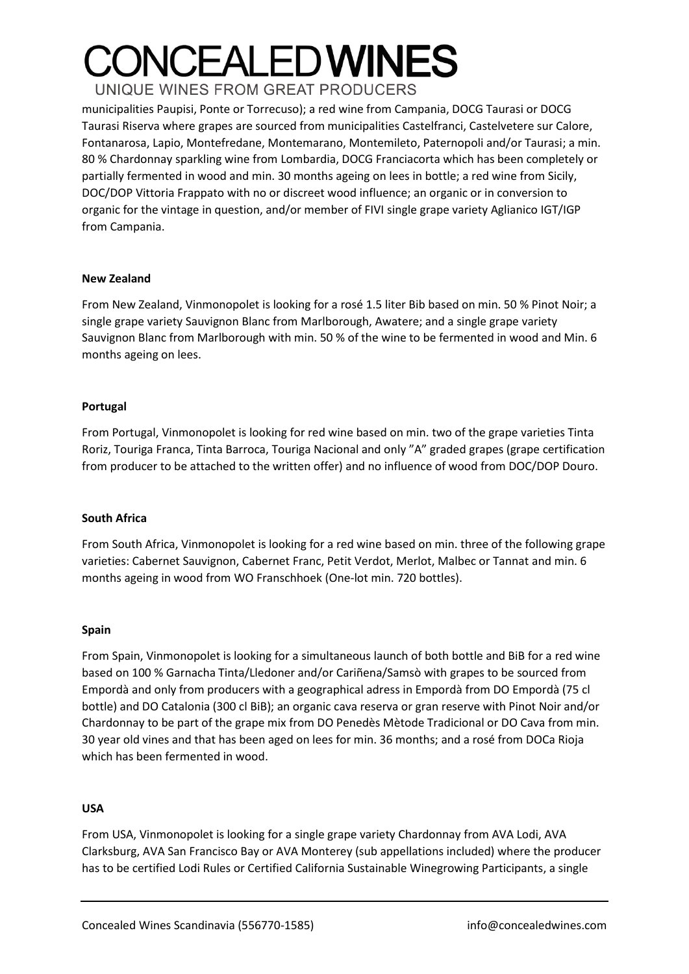# **ONCEALED WINES** UNIQUE WINES FROM GREAT PRODUCERS

municipalities Paupisi, Ponte or Torrecuso); a red wine from Campania, DOCG Taurasi or DOCG Taurasi Riserva where grapes are sourced from municipalities Castelfranci, Castelvetere sur Calore, Fontanarosa, Lapio, Montefredane, Montemarano, Montemileto, Paternopoli and/or Taurasi; a min. 80 % Chardonnay sparkling wine from Lombardia, DOCG Franciacorta which has been completely or partially fermented in wood and min. 30 months ageing on lees in bottle; a red wine from Sicily, DOC/DOP Vittoria Frappato with no or discreet wood influence; an organic or in conversion to organic for the vintage in question, and/or member of FIVI single grape variety Aglianico IGT/IGP from Campania.

### **New Zealand**

From New Zealand, Vinmonopolet is looking for a rosé 1.5 liter Bib based on min. 50 % Pinot Noir; a single grape variety Sauvignon Blanc from Marlborough, Awatere; and a single grape variety Sauvignon Blanc from Marlborough with min. 50 % of the wine to be fermented in wood and Min. 6 months ageing on lees.

### **Portugal**

From Portugal, Vinmonopolet is looking for red wine based on min. two of the grape varieties Tinta Roriz, Touriga Franca, Tinta Barroca, Touriga Nacional and only "A" graded grapes (grape certification from producer to be attached to the written offer) and no influence of wood from DOC/DOP Douro.

### **South Africa**

From South Africa, Vinmonopolet is looking for a red wine based on min. three of the following grape varieties: Cabernet Sauvignon, Cabernet Franc, Petit Verdot, Merlot, Malbec or Tannat and min. 6 months ageing in wood from WO Franschhoek (One-lot min. 720 bottles).

#### **Spain**

From Spain, Vinmonopolet is looking for a simultaneous launch of both bottle and BiB for a red wine based on 100 % Garnacha Tinta/Lledoner and/or Cariñena/Samsò with grapes to be sourced from Empordà and only from producers with a geographical adress in Empordà from DO Empordà (75 cl bottle) and DO Catalonia (300 cl BiB); an organic cava reserva or gran reserve with Pinot Noir and/or Chardonnay to be part of the grape mix from DO Penedès Mètode Tradicional or DO Cava from min. 30 year old vines and that has been aged on lees for min. 36 months; and a rosé from DOCa Rioja which has been fermented in wood.

#### **USA**

From USA, Vinmonopolet is looking for a single grape variety Chardonnay from AVA Lodi, AVA Clarksburg, AVA San Francisco Bay or AVA Monterey (sub appellations included) where the producer has to be certified Lodi Rules or Certified California Sustainable Winegrowing Participants, a single